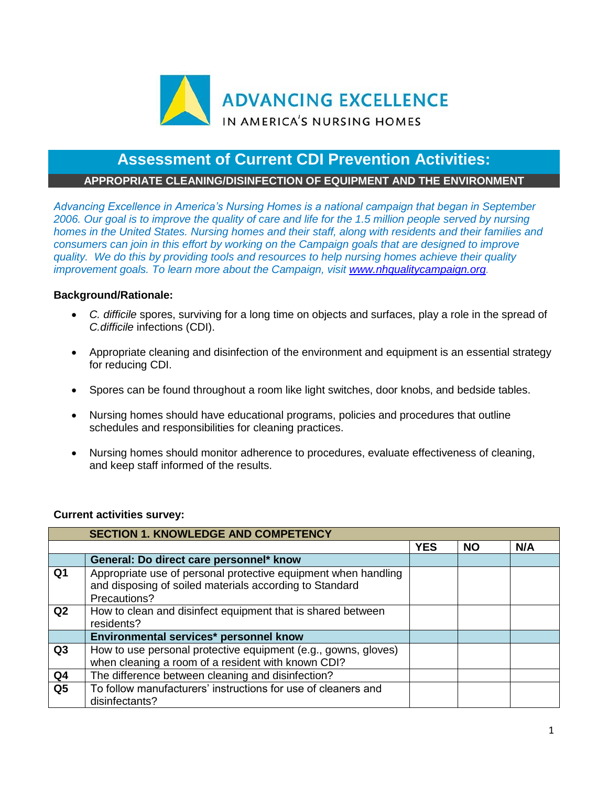

## **Assessment of Current CDI Prevention Activities:**

## **APPROPRIATE CLEANING/DISINFECTION OF EQUIPMENT AND THE ENVIRONMENT**

*Advancing Excellence in America's Nursing Homes is a national campaign that began in September 2006. Our goal is to improve the quality of care and life for the 1.5 million people served by nursing homes in the United States. Nursing homes and their staff, along with residents and their families and consumers can join in this effort by working on the Campaign goals that are designed to improve quality. We do this by providing tools and resources to help nursing homes achieve their quality improvement goals. To learn more about the Campaign, visit [www.nhqualitycampaign.org.](https://www.nhqualitycampaign.org/)*

## **Background/Rationale:**

- *C. difficile* spores, surviving for a long time on objects and surfaces, play a role in the spread of *C.difficile* infections (CDI).
- Appropriate cleaning and disinfection of the environment and equipment is an essential strategy for reducing CDI.
- Spores can be found throughout a room like light switches, door knobs, and bedside tables.
- Nursing homes should have educational programs, policies and procedures that outline schedules and responsibilities for cleaning practices.
- Nursing homes should monitor adherence to procedures, evaluate effectiveness of cleaning, and keep staff informed of the results.

## **Current activities survey:**

| <b>SECTION 1. KNOWLEDGE AND COMPETENCY</b> |                                                                                                                                           |            |           |     |  |  |
|--------------------------------------------|-------------------------------------------------------------------------------------------------------------------------------------------|------------|-----------|-----|--|--|
|                                            |                                                                                                                                           | <b>YES</b> | <b>NO</b> | N/A |  |  |
|                                            | General: Do direct care personnel* know                                                                                                   |            |           |     |  |  |
| Q1                                         | Appropriate use of personal protective equipment when handling<br>and disposing of soiled materials according to Standard<br>Precautions? |            |           |     |  |  |
| Q <sub>2</sub>                             | How to clean and disinfect equipment that is shared between<br>residents?                                                                 |            |           |     |  |  |
|                                            | Environmental services* personnel know                                                                                                    |            |           |     |  |  |
| Q3                                         | How to use personal protective equipment (e.g., gowns, gloves)<br>when cleaning a room of a resident with known CDI?                      |            |           |     |  |  |
| Q <sub>4</sub>                             | The difference between cleaning and disinfection?                                                                                         |            |           |     |  |  |
| Q <sub>5</sub>                             | To follow manufacturers' instructions for use of cleaners and<br>disinfectants?                                                           |            |           |     |  |  |